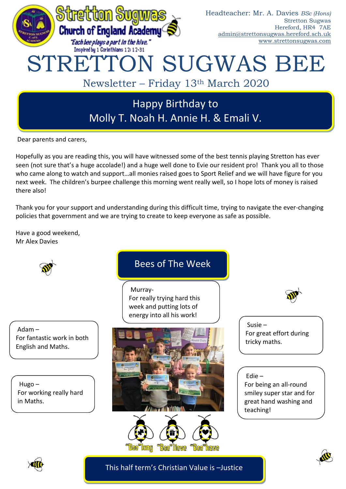

Dear parents and carers,

Hopefully as you are reading this, you will have witnessed some of the best tennis playing Stretton has ever seen (not sure that's a huge accolade!) and a huge well done to Evie our resident pro! Thank you all to those who came along to watch and support…all monies raised goes to Sport Relief and we will have figure for you next week. The children's burpee challenge this morning went really well, so I hope lots of money is raised there also!

Thank you for your support and understanding during this difficult time, trying to navigate the ever-changing policies that government and we are trying to create to keep everyone as safe as possible.

Have a good weekend, Mr Alex Davies



Adam – For fantastic work in both English and Maths.

Hugo – For working really hard in Maths.

# Bees of The Week

Murray-For really trying hard this week and putting lots of energy into all his work!





Susie – For great effort during

tricky maths.

Edie – For being an all-round smiley super star and for great hand washing and teaching!



This half term's Christian Value is –Justice